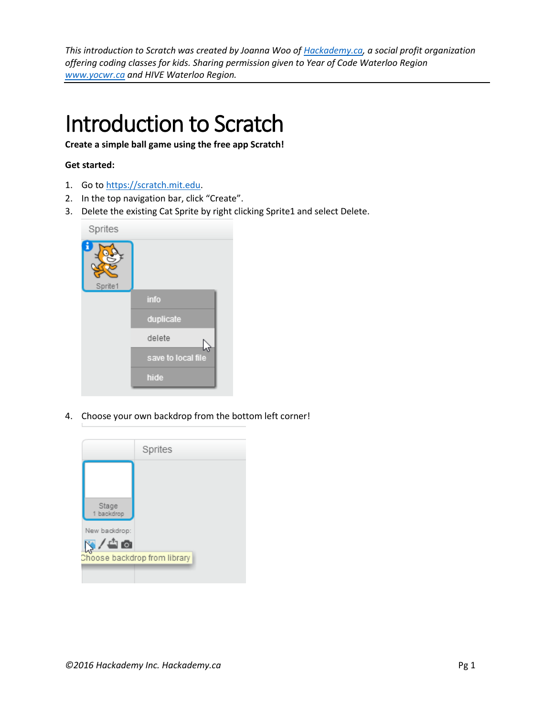*This introduction to Scratch was created by Joanna Woo o[f Hackademy.ca,](http://www.hackademy.ca/) a social profit organization offering coding classes for kids. Sharing permission given to Year of Code Waterloo Region [www.yocwr.ca](http://www.yocwr.ca/) and HIVE Waterloo Region.* 

# Introduction to Scratch

**Create a simple ball game using the free app Scratch!**

## **Get started:**

- 1. Go to [https://scratch.mit.edu.](https://scratch.mit.edu/)
- 2. In the top navigation bar, click "Create".
- 3. Delete the existing Cat Sprite by right clicking Sprite1 and select Delete.



4. Choose your own backdrop from the bottom left corner!

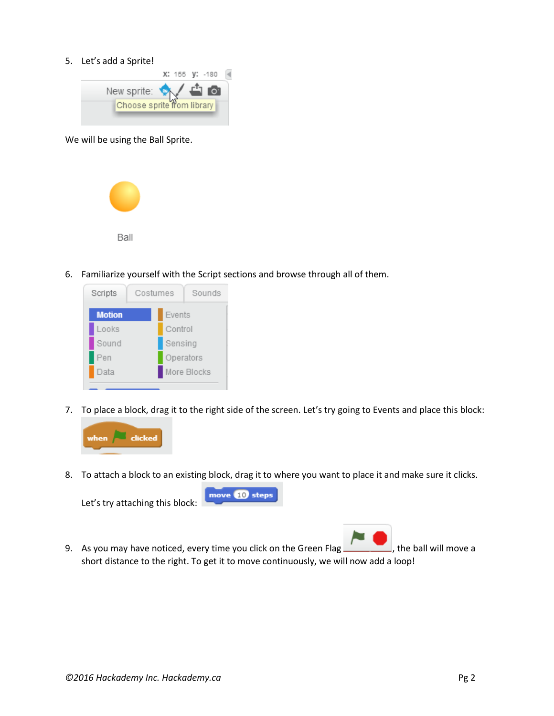### 5. Let's add a Sprite!



We will be using the Ball Sprite.



6. Familiarize yourself with the Script sections and browse through all of them.



7. To place a block, drag it to the right side of the screen. Let's try going to Events and place this block:



8. To attach a block to an existing block, drag it to where you want to place it and make sure it clicks.



9. As you may have noticed, every time you click on the Green Flag , the ball will move a

short distance to the right. To get it to move continuously, we will now add a loop!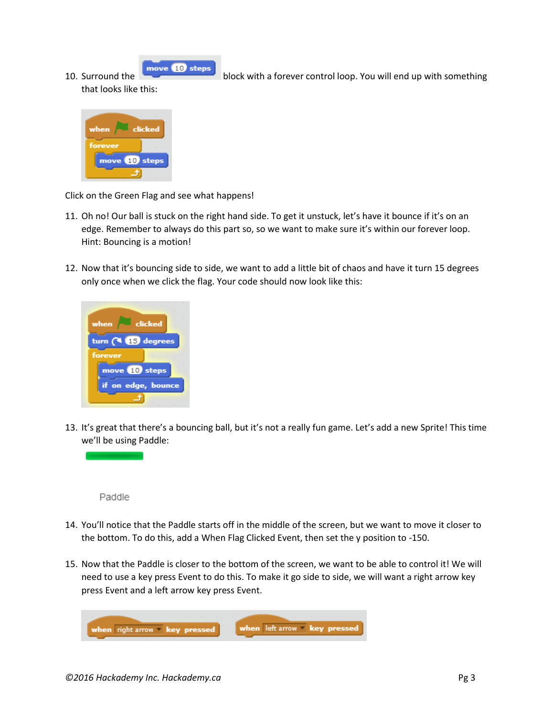move **10** steps 10. Surround the block with a forever control loop. You will end up with something

that looks like this:

| when    | clicked         |
|---------|-----------------|
| forever |                 |
| move    | <b>10</b> steps |
|         |                 |

Click on the Green Flag and see what happens!

- 11. Oh no! Our ball is stuck on the right hand side. To get it unstuck, let's have it bounce if it's on an edge. Remember to always do this part so, so we want to make sure it's within our forever loop. Hint: Bouncing is a motion!
- 12. Now that it's bouncing side to side, we want to add a little bit of chaos and have it turn 15 degrees only once when we click the flag. Your code should now look like this:



13. It's great that there's a bouncing ball, but it's not a really fun game. Let's add a new Sprite! This time we'll be using Paddle:



- 14. You'll notice that the Paddle starts off in the middle of the screen, but we want to move it closer to the bottom. To do this, add a When Flag Clicked Event, then set the y position to -150.
- 15. Now that the Paddle is closer to the bottom of the screen, we want to be able to control it! We will need to use a key press Event to do this. To make it go side to side, we will want a right arrow key press Event and a left arrow key press Event.

when left arrow " key pressed when right arrow " key pressed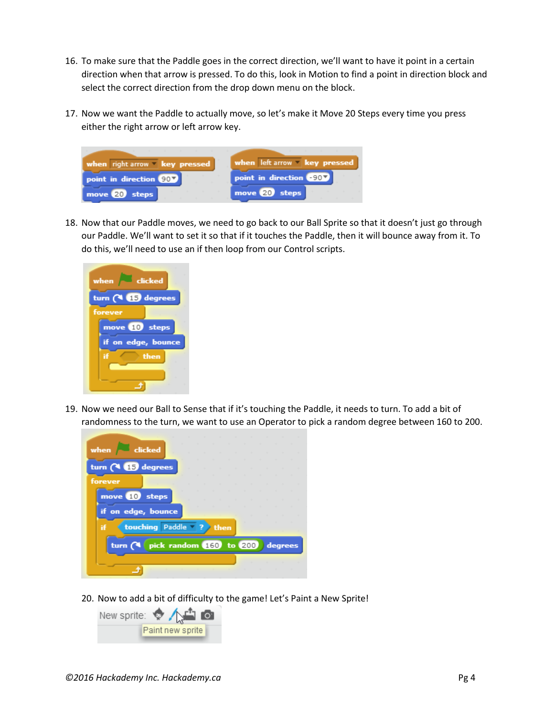- 16. To make sure that the Paddle goes in the correct direction, we'll want to have it point in a certain direction when that arrow is pressed. To do this, look in Motion to find a point in direction block and select the correct direction from the drop down menu on the block.
- 17. Now we want the Paddle to actually move, so let's make it Move 20 Steps every time you press either the right arrow or left arrow key.



18. Now that our Paddle moves, we need to go back to our Ball Sprite so that it doesn't just go through our Paddle. We'll want to set it so that if it touches the Paddle, then it will bounce away from it. To do this, we'll need to use an if then loop from our Control scripts.



19. Now we need our Ball to Sense that if it's touching the Paddle, it needs to turn. To add a bit of randomness to the turn, we want to use an Operator to pick a random degree between 160 to 200.



20. Now to add a bit of difficulty to the game! Let's Paint a New Sprite!

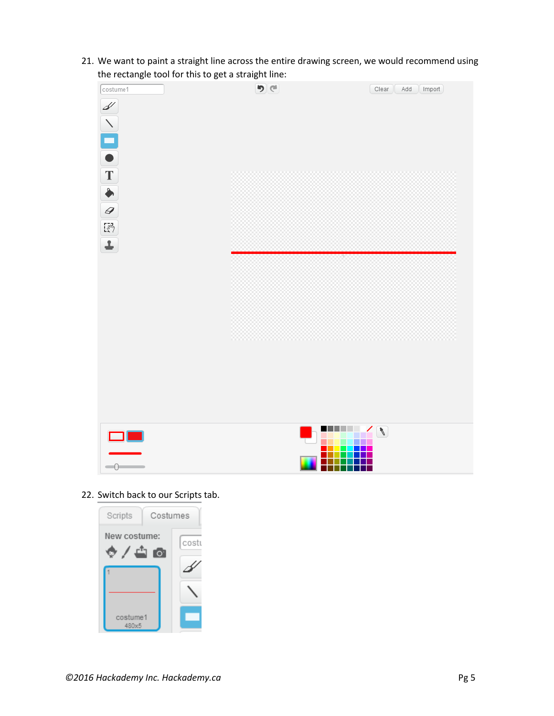21. We want to paint a straight line across the entire drawing screen, we would recommend using the rectangle tool for this to get a straight line:



22. Switch back to our Scripts tab.

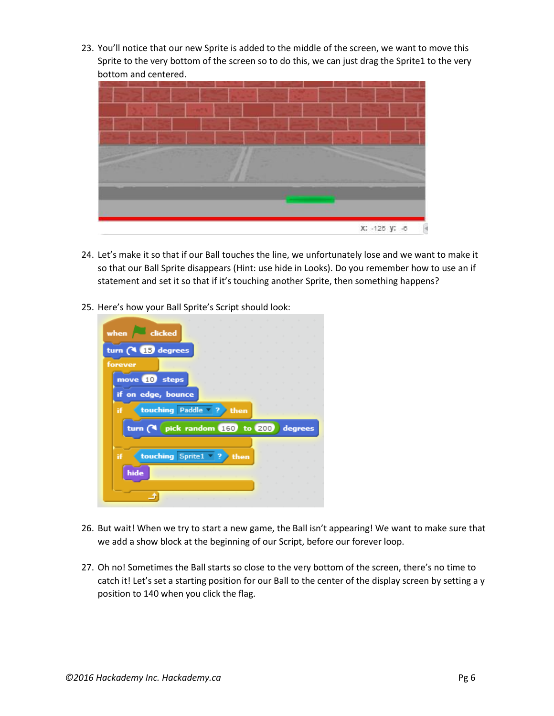23. You'll notice that our new Sprite is added to the middle of the screen, we want to move this Sprite to the very bottom of the screen so to do this, we can just drag the Sprite1 to the very bottom and centered.



- 24. Let's make it so that if our Ball touches the line, we unfortunately lose and we want to make it so that our Ball Sprite disappears (Hint: use hide in Looks). Do you remember how to use an if statement and set it so that if it's touching another Sprite, then something happens?
- 25. Here's how your Ball Sprite's Script should look:



- 26. But wait! When we try to start a new game, the Ball isn't appearing! We want to make sure that we add a show block at the beginning of our Script, before our forever loop.
- 27. Oh no! Sometimes the Ball starts so close to the very bottom of the screen, there's no time to catch it! Let's set a starting position for our Ball to the center of the display screen by setting a y position to 140 when you click the flag.